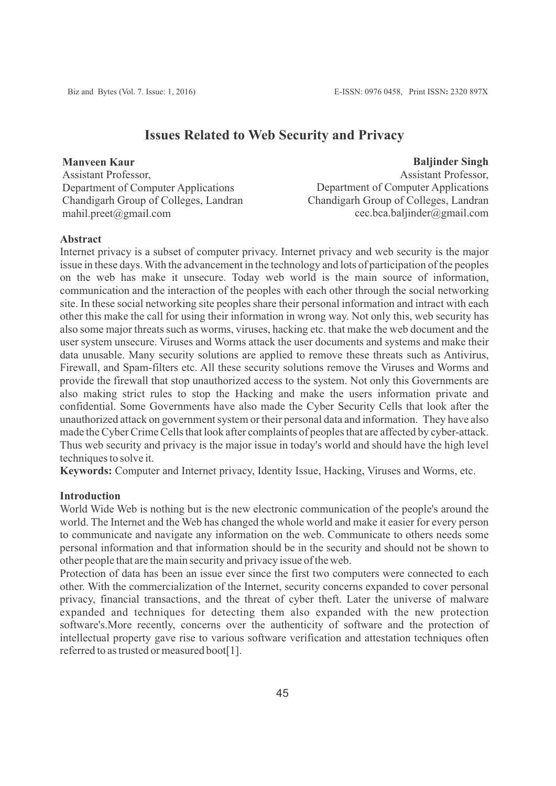# **Issues Related to Web Security and Privacy**

**Manveen Kaur** Assistant Professor, Department of Computer Applications Chandigarh Group of Colleges, Landran mahil.preet@gmail.com

# **Baljinder Singh**

Assistant Professor, Department of Computer Applications Chandigarh Group of Colleges, Landran cec.bca.baljinder@gmail.com

## **Abstract**

Internet privacy is a subset of computer privacy. Internet privacy and web security is the major issue in these days. With the advancement in the technology and lots of participation of the peoples on the web has make it unsecure. Today web world is the main source of information, communication and the interaction of the peoples with each other through the social networking site. In these social networking site peoples share their personal information and intract with each other this make the call for using their information in wrong way. Not only this, web security has also some major threats such as worms, viruses, hacking etc. that make the web document and the user system unsecure. Viruses and Worms attack the user documents and systems and make their data unusable. Many security solutions are applied to remove these threats such as Antivirus, Firewall, and Spam-filters etc. All these security solutions remove the Viruses and Worms and provide the firewall that stop unauthorized access to the system. Not only this Governments are also making strict rules to stop the Hacking and make the users information private and confidential. Some Governments have also made the Cyber Security Cells that look after the unauthorized attack on government system or their personal data and information. They have also made the Cyber Crime Cells that look after complaints of peoples that are affected by cyber-attack. Thus web security and privacy is the major issue in today's world and should have the high level techniques to solve it.

**Keywords:** Computer and Internet privacy, Identity Issue, Hacking, Viruses and Worms, etc.

# **Introduction**

World Wide Web is nothing but is the new electronic communication of the people's around the world. The Internet and the Web has changed the whole world and make it easier for every person to communicate and navigate any information on the web. Communicate to others needs some personal information and that information should be in the security and should not be shown to other people that are the main security and privacy issue of the web.

Protection of data has been an issue ever since the first two computers were connected to each other. With the commercialization of the Internet, security concerns expanded to cover personal privacy, financial transactions, and the threat of cyber theft. Later the universe of malware expanded and techniques for detecting them also expanded with the new protection software's.More recently, concerns over the authenticity of software and the protection of intellectual property gave rise to various software verification and attestation techniques often referred to as trusted or measured boot[1].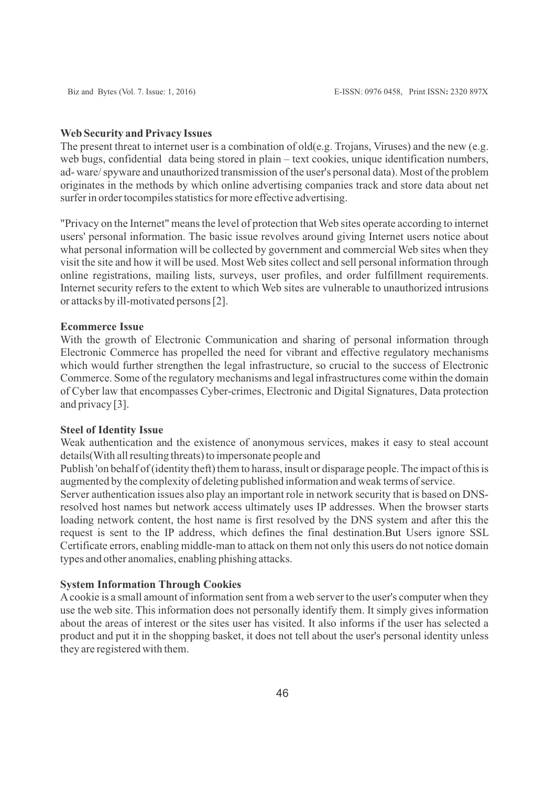#### **Web Security and Privacy Issues**

The present threat to internet user is a combination of old(e.g. Trojans, Viruses) and the new (e.g. web bugs, confidential data being stored in plain – text cookies, unique identification numbers, ad- ware/ spyware and unauthorized transmission of the user's personal data). Most of the problem originates in the methods by which online advertising companies track and store data about net surfer in order tocompiles statistics for more effective advertising.

"Privacy on the Internet" means the level of protection that Web sites operate according to internet users' personal information. The basic issue revolves around giving Internet users notice about what personal information will be collected by government and commercial Web sites when they visit the site and how it will be used. Most Web sites collect and sell personal information through online registrations, mailing lists, surveys, user profiles, and order fulfillment requirements. Internet security refers to the extent to which Web sites are vulnerable to unauthorized intrusions or attacks by ill-motivated persons [2].

#### **Ecommerce Issue**

With the growth of Electronic Communication and sharing of personal information through Electronic Commerce has propelled the need for vibrant and effective regulatory mechanisms which would further strengthen the legal infrastructure, so crucial to the success of Electronic Commerce. Some of the regulatory mechanisms and legal infrastructures come within the domain of Cyber law that encompasses Cyber-crimes, Electronic and Digital Signatures, Data protection and privacy [3].

#### **Steel of Identity Issue**

Weak authentication and the existence of anonymous services, makes it easy to steal account details(With all resulting threats) to impersonate people and

Publish 'on behalf of (identity theft) them to harass, insult or disparage people. The impact of this is augmented by the complexity of deleting published information and weak terms of service.

Server authentication issues also play an important role in network security that is based on DNSresolved host names but network access ultimately uses IP addresses. When the browser starts loading network content, the host name is first resolved by the DNS system and after this the request is sent to the IP address, which defines the final destination.But Users ignore SSL Certificate errors, enabling middle-man to attack on them not only this users do not notice domain types and other anomalies, enabling phishing attacks.

#### **System Information Through Cookies**

Acookie is a small amount of information sent from a web server to the user's computer when they use the web site. This information does not personally identify them. It simply gives information about the areas of interest or the sites user has visited. It also informs if the user has selected a product and put it in the shopping basket, it does not tell about the user's personal identity unless they are registered with them.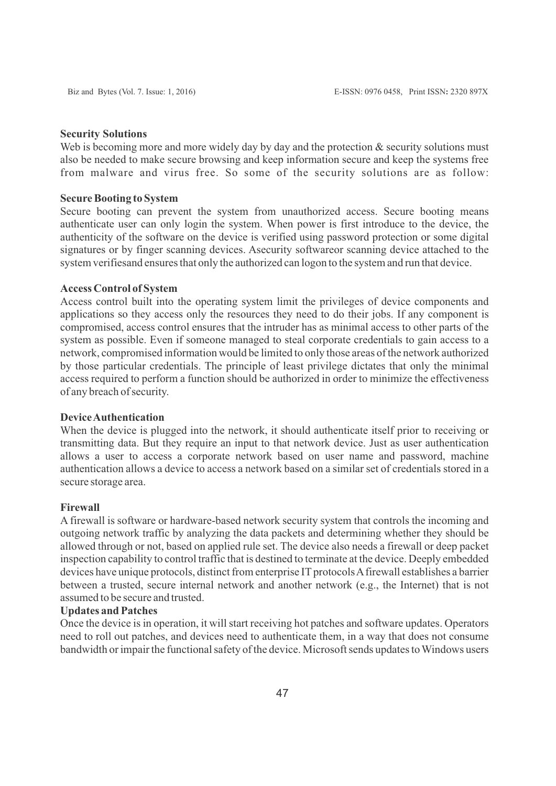#### **Security Solutions**

Web is becoming more and more widely day by day and the protection  $\&$  security solutions must also be needed to make secure browsing and keep information secure and keep the systems free from malware and virus free. So some of the security solutions are as follow:

## **Secure Booting to System**

Secure booting can prevent the system from unauthorized access. Secure booting means authenticate user can only login the system. When power is first introduce to the device, the authenticity of the software on the device is verified using password protection or some digital signatures or by finger scanning devices. Asecurity softwareor scanning device attached to the system verifiesand ensures that only the authorized can logon to the system and run that device.

#### **Access Control of System**

Access control built into the operating system limit the privileges of device components and applications so they access only the resources they need to do their jobs. If any component is compromised, access control ensures that the intruder has as minimal access to other parts of the system as possible. Even if someone managed to steal corporate credentials to gain access to a network, compromised information would be limited to only those areas of the network authorized by those particular credentials. The principle of least privilege dictates that only the minimal access required to perform a function should be authorized in order to minimize the effectiveness of any breach of security.

#### **Device Authentication**

When the device is plugged into the network, it should authenticate itself prior to receiving or transmitting data. But they require an input to that network device. Just as user authentication allows a user to access a corporate network based on user name and password, machine authentication allows a device to access a network based on a similar set of credentials stored in a secure storage area.

## **Firewall**

A firewall is software or hardware-based network security system that controls the incoming and outgoing network traffic by analyzing the data packets and determining whether they should be allowed through or not, based on applied rule set. The device also needs a firewall or deep packet inspection capability to control traffic that is destined to terminate at the device. Deeply embedded devices have unique protocols, distinct from enterprise IT protocols A firewall establishes a barrier between a trusted, secure internal network and another network (e.g., the Internet) that is not assumed to be secure and trusted.

#### **Updates and Patches**

Once the device is in operation, it will start receiving hot patches and software updates. Operators need to roll out patches, and devices need to authenticate them, in a way that does not consume bandwidth or impair the functional safety of the device. Microsoft sends updates to Windows users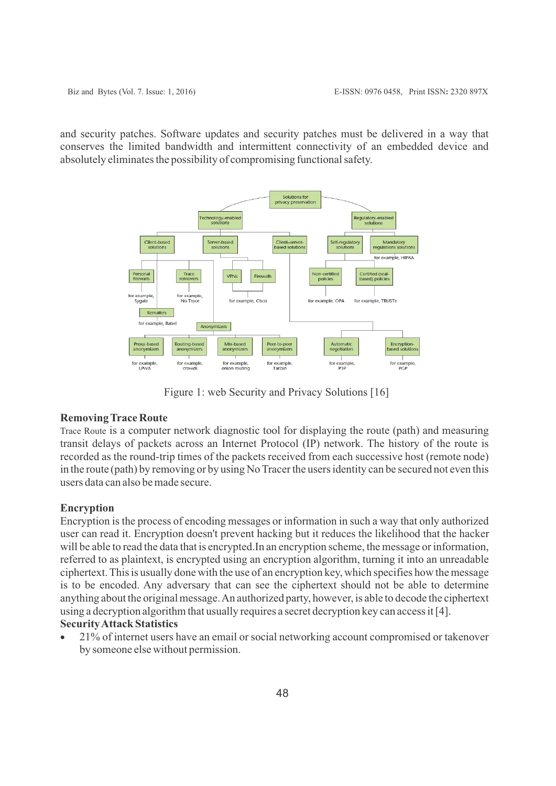and security patches. Software updates and security patches must be delivered in a way that conserves the limited bandwidth and intermittent connectivity of an embedded device and absolutely eliminates the possibility of compromising functional safety.



Figure 1: web Security and Privacy Solutions [16]

# **Removing Trace Route**

Trace Route is a computer network diagnostic tool for displaying the route (path) and measuring transit delays of packets across an Internet Protocol (IP) network. The history of the route is recorded as the round-trip times of the packets received from each successive host (remote node) in the route (path) by removing or by using No Tracer the users identity can be secured not even this users data can also be made secure.

# **Encryption**

Encryption is the process of encoding messages or information in such a way that only authorized user can read it. Encryption doesn't prevent hacking but it reduces the likelihood that the hacker will be able to read the data that is encrypted. In an encryption scheme, the message or information, referred to as plaintext, is encrypted using an encryption algorithm, turning it into an unreadable ciphertext. This is usually done with the use of an encryption key, which specifies how the message is to be encoded. Any adversary that can see the ciphertext should not be able to determine anything about the original message. An authorized party, however, is able to decode the ciphertext using a decryption algorithm that usually requires a secret decryption key can access it [4].

# **Security Attack Statistics**

· 21% of internet users have an email or social networking account compromised or takenover by someone else without permission.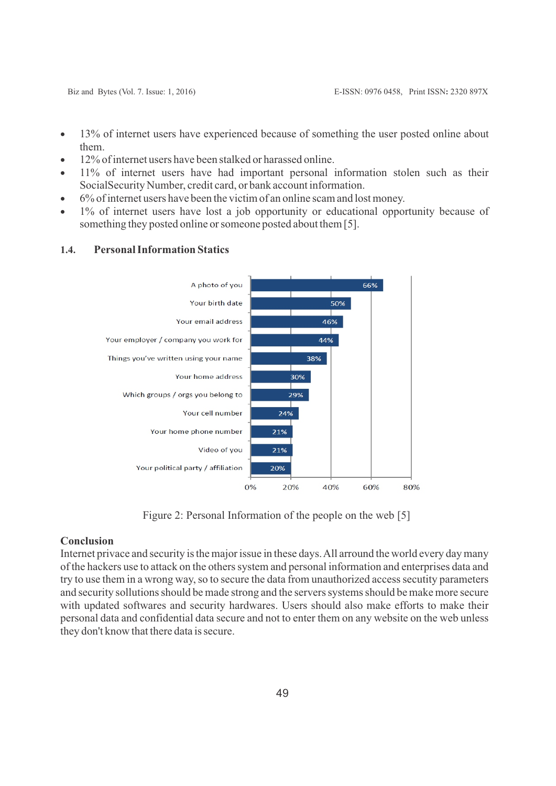- 13% of internet users have experienced because of something the user posted online about them.
- 12% of internet users have been stalked or harassed online.
- · 11% of internet users have had important personal information stolen such as their SocialSecurity Number, credit card, or bank account information.
- · 6% of internet users have been the victim of an online scam and lost money.
- · 1% of internet users have lost a job opportunity or educational opportunity because of something they posted online or someone posted about them [5].



#### **1.4. Personal Information Statics**

Figure 2: Personal Information of the people on the web [5]

### **Conclusion**

Internet privace and security is the major issue in these days. All arround the world every day many of the hackers use to attack on the others system and personal information and enterprises data and try to use them in a wrong way, so to secure the data from unauthorized access secutity parameters and security sollutions should be made strong and the servers systems should be make more secure with updated softwares and security hardwares. Users should also make efforts to make their personal data and confidential data secure and not to enter them on any website on the web unless they don't know that there data is secure.